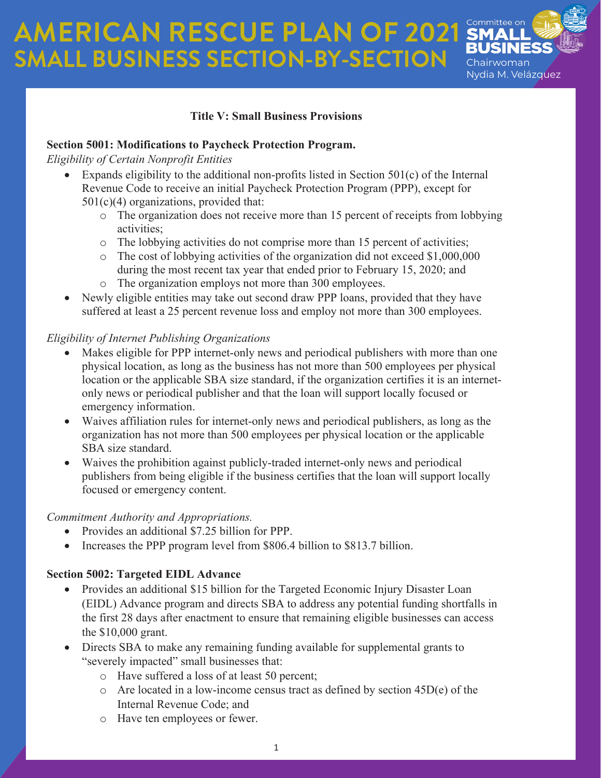# **AMERICAN RESCUE PLAN OF 2021 SMAL SMALL BUSINESS SECTION-BY-SECTION**



## **Title V: Small Business Provisions**

## **Section 5001: Modifications to Paycheck Protection Program.**

*Eligibility of Certain Nonprofit Entities*

- Expands eligibility to the additional non-profits listed in Section  $501(c)$  of the Internal Revenue Code to receive an initial Paycheck Protection Program (PPP), except for  $501(c)(4)$  organizations, provided that:
	- o The organization does not receive more than 15 percent of receipts from lobbying activities;
	- o The lobbying activities do not comprise more than 15 percent of activities;
	- o The cost of lobbying activities of the organization did not exceed \$1,000,000 during the most recent tax year that ended prior to February 15, 2020; and
	- o The organization employs not more than 300 employees.
- Newly eligible entities may take out second draw PPP loans, provided that they have suffered at least a 25 percent revenue loss and employ not more than 300 employees.

## *Eligibility of Internet Publishing Organizations*

- Makes eligible for PPP internet-only news and periodical publishers with more than one physical location, as long as the business has not more than 500 employees per physical location or the applicable SBA size standard, if the organization certifies it is an internetonly news or periodical publisher and that the loan will support locally focused or emergency information.
- Waives affiliation rules for internet-only news and periodical publishers, as long as the organization has not more than 500 employees per physical location or the applicable SBA size standard.
- Waives the prohibition against publicly-traded internet-only news and periodical publishers from being eligible if the business certifies that the loan will support locally focused or emergency content.

## *Commitment Authority and Appropriations.*

- Provides an additional \$7.25 billion for PPP.
- Increases the PPP program level from \$806.4 billion to \$813.7 billion.

## **Section 5002: Targeted EIDL Advance**

- Provides an additional \$15 billion for the Targeted Economic Injury Disaster Loan (EIDL) Advance program and directs SBA to address any potential funding shortfalls in the first 28 days after enactment to ensure that remaining eligible businesses can access the \$10,000 grant.
- Directs SBA to make any remaining funding available for supplemental grants to "severely impacted" small businesses that:
	- o Have suffered a loss of at least 50 percent;
	- o Are located in a low-income census tract as defined by section 45D(e) of the Internal Revenue Code; and
	- o Have ten employees or fewer.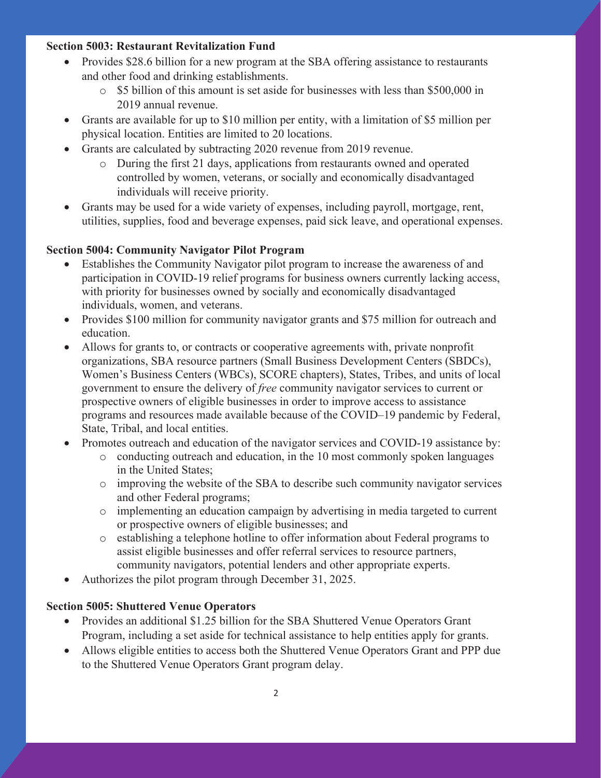#### **Section 5003: Restaurant Revitalization Fund**

- Provides \$28.6 billion for a new program at the SBA offering assistance to restaurants and other food and drinking establishments.
	- o \$5 billion of this amount is set aside for businesses with less than \$500,000 in 2019 annual revenue.
- Grants are available for up to \$10 million per entity, with a limitation of \$5 million per physical location. Entities are limited to 20 locations.
- Grants are calculated by subtracting 2020 revenue from 2019 revenue.
	- o During the first 21 days, applications from restaurants owned and operated controlled by women, veterans, or socially and economically disadvantaged individuals will receive priority.
- Grants may be used for a wide variety of expenses, including payroll, mortgage, rent, utilities, supplies, food and beverage expenses, paid sick leave, and operational expenses.

#### **Section 5004: Community Navigator Pilot Program**

- Establishes the Community Navigator pilot program to increase the awareness of and participation in COVID-19 relief programs for business owners currently lacking access, with priority for businesses owned by socially and economically disadvantaged individuals, women, and veterans.
- Provides \$100 million for community navigator grants and \$75 million for outreach and education.
- Allows for grants to, or contracts or cooperative agreements with, private nonprofit organizations, SBA resource partners (Small Business Development Centers (SBDCs), Women's Business Centers (WBCs), SCORE chapters), States, Tribes, and units of local government to ensure the delivery of *free* community navigator services to current or prospective owners of eligible businesses in order to improve access to assistance programs and resources made available because of the COVID–19 pandemic by Federal, State, Tribal, and local entities.
- Promotes outreach and education of the navigator services and COVID-19 assistance by:
	- $\circ$  conducting outreach and education, in the 10 most commonly spoken languages in the United States;
	- o improving the website of the SBA to describe such community navigator services and other Federal programs;
	- o implementing an education campaign by advertising in media targeted to current or prospective owners of eligible businesses; and
	- o establishing a telephone hotline to offer information about Federal programs to assist eligible businesses and offer referral services to resource partners, community navigators, potential lenders and other appropriate experts.
- Authorizes the pilot program through December 31, 2025.

#### **Section 5005: Shuttered Venue Operators**

- Provides an additional \$1.25 billion for the SBA Shuttered Venue Operators Grant Program, including a set aside for technical assistance to help entities apply for grants.
- Allows eligible entities to access both the Shuttered Venue Operators Grant and PPP due to the Shuttered Venue Operators Grant program delay.